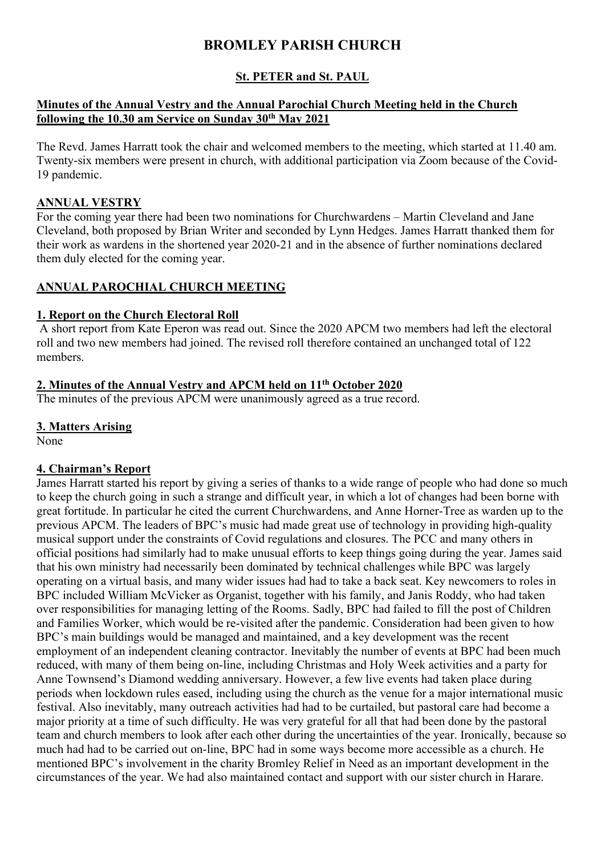# BROMLEY PARISH CHURCH

# St. PETER and St. PAUL

#### Minutes of the Annual Vestry and the Annual Parochial Church Meeting held in the Church following the 10.30 am Service on Sunday 30<sup>th</sup> May 2021

The Revd. James Harratt took the chair and welcomed members to the meeting, which started at 11.40 am. Twenty-six members were present in church, with additional participation via Zoom because of the Covid-19 pandemic.

#### ANNUAL VESTRY

For the coming year there had been two nominations for Churchwardens – Martin Cleveland and Jane Cleveland, both proposed by Brian Writer and seconded by Lynn Hedges. James Harratt thanked them for their work as wardens in the shortened year 2020-21 and in the absence of further nominations declared them duly elected for the coming year.

# ANNUAL PAROCHIAL CHURCH MEETING

#### 1. Report on the Church Electoral Roll

A short report from Kate Eperon was read out. Since the 2020 APCM two members had left the electoral roll and two new members had joined. The revised roll therefore contained an unchanged total of 122 members.

## 2. Minutes of the Annual Vestry and APCM held on 11<sup>th</sup> October 2020

The minutes of the previous APCM were unanimously agreed as a true record.

#### 3. Matters Arising

None

#### 4. Chairman's Report

James Harratt started his report by giving a series of thanks to a wide range of people who had done so much to keep the church going in such a strange and difficult year, in which a lot of changes had been borne with great fortitude. In particular he cited the current Churchwardens, and Anne Horner-Tree as warden up to the previous APCM. The leaders of BPC's music had made great use of technology in providing high-quality musical support under the constraints of Covid regulations and closures. The PCC and many others in official positions had similarly had to make unusual efforts to keep things going during the year. James said that his own ministry had necessarily been dominated by technical challenges while BPC was largely operating on a virtual basis, and many wider issues had had to take a back seat. Key newcomers to roles in BPC included William McVicker as Organist, together with his family, and Janis Roddy, who had taken over responsibilities for managing letting of the Rooms. Sadly, BPC had failed to fill the post of Children and Families Worker, which would be re-visited after the pandemic. Consideration had been given to how BPC's main buildings would be managed and maintained, and a key development was the recent employment of an independent cleaning contractor. Inevitably the number of events at BPC had been much reduced, with many of them being on-line, including Christmas and Holy Week activities and a party for Anne Townsend's Diamond wedding anniversary. However, a few live events had taken place during periods when lockdown rules eased, including using the church as the venue for a major international music festival. Also inevitably, many outreach activities had had to be curtailed, but pastoral care had become a major priority at a time of such difficulty. He was very grateful for all that had been done by the pastoral team and church members to look after each other during the uncertainties of the year. Ironically, because so much had had to be carried out on-line, BPC had in some ways become more accessible as a church. He mentioned BPC's involvement in the charity Bromley Relief in Need as an important development in the circumstances of the year. We had also maintained contact and support with our sister church in Harare.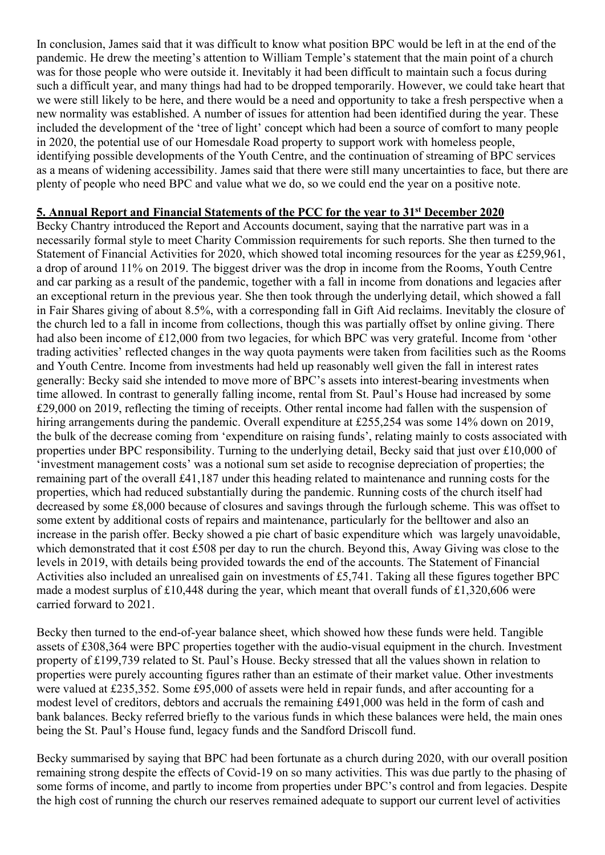In conclusion, James said that it was difficult to know what position BPC would be left in at the end of the pandemic. He drew the meeting's attention to William Temple's statement that the main point of a church was for those people who were outside it. Inevitably it had been difficult to maintain such a focus during such a difficult year, and many things had had to be dropped temporarily. However, we could take heart that we were still likely to be here, and there would be a need and opportunity to take a fresh perspective when a new normality was established. A number of issues for attention had been identified during the year. These included the development of the 'tree of light' concept which had been a source of comfort to many people in 2020, the potential use of our Homesdale Road property to support work with homeless people, identifying possible developments of the Youth Centre, and the continuation of streaming of BPC services as a means of widening accessibility. James said that there were still many uncertainties to face, but there are plenty of people who need BPC and value what we do, so we could end the year on a positive note.

#### 5. Annual Report and Financial Statements of the PCC for the year to 31<sup>st</sup> December 2020

Becky Chantry introduced the Report and Accounts document, saying that the narrative part was in a necessarily formal style to meet Charity Commission requirements for such reports. She then turned to the Statement of Financial Activities for 2020, which showed total incoming resources for the year as £259,961, a drop of around 11% on 2019. The biggest driver was the drop in income from the Rooms, Youth Centre and car parking as a result of the pandemic, together with a fall in income from donations and legacies after an exceptional return in the previous year. She then took through the underlying detail, which showed a fall in Fair Shares giving of about 8.5%, with a corresponding fall in Gift Aid reclaims. Inevitably the closure of the church led to a fall in income from collections, though this was partially offset by online giving. There had also been income of £12,000 from two legacies, for which BPC was very grateful. Income from 'other trading activities' reflected changes in the way quota payments were taken from facilities such as the Rooms and Youth Centre. Income from investments had held up reasonably well given the fall in interest rates generally: Becky said she intended to move more of BPC's assets into interest-bearing investments when time allowed. In contrast to generally falling income, rental from St. Paul's House had increased by some £29,000 on 2019, reflecting the timing of receipts. Other rental income had fallen with the suspension of hiring arrangements during the pandemic. Overall expenditure at £255,254 was some 14% down on 2019, the bulk of the decrease coming from 'expenditure on raising funds', relating mainly to costs associated with properties under BPC responsibility. Turning to the underlying detail, Becky said that just over £10,000 of 'investment management costs' was a notional sum set aside to recognise depreciation of properties; the remaining part of the overall £41,187 under this heading related to maintenance and running costs for the properties, which had reduced substantially during the pandemic. Running costs of the church itself had decreased by some £8,000 because of closures and savings through the furlough scheme. This was offset to some extent by additional costs of repairs and maintenance, particularly for the belltower and also an increase in the parish offer. Becky showed a pie chart of basic expenditure which was largely unavoidable, which demonstrated that it cost £508 per day to run the church. Beyond this, Away Giving was close to the levels in 2019, with details being provided towards the end of the accounts. The Statement of Financial Activities also included an unrealised gain on investments of £5,741. Taking all these figures together BPC made a modest surplus of £10,448 during the year, which meant that overall funds of £1,320,606 were carried forward to 2021.

Becky then turned to the end-of-year balance sheet, which showed how these funds were held. Tangible assets of £308,364 were BPC properties together with the audio-visual equipment in the church. Investment property of £199,739 related to St. Paul's House. Becky stressed that all the values shown in relation to properties were purely accounting figures rather than an estimate of their market value. Other investments were valued at £235,352. Some £95,000 of assets were held in repair funds, and after accounting for a modest level of creditors, debtors and accruals the remaining £491,000 was held in the form of cash and bank balances. Becky referred briefly to the various funds in which these balances were held, the main ones being the St. Paul's House fund, legacy funds and the Sandford Driscoll fund.

Becky summarised by saying that BPC had been fortunate as a church during 2020, with our overall position remaining strong despite the effects of Covid-19 on so many activities. This was due partly to the phasing of some forms of income, and partly to income from properties under BPC's control and from legacies. Despite the high cost of running the church our reserves remained adequate to support our current level of activities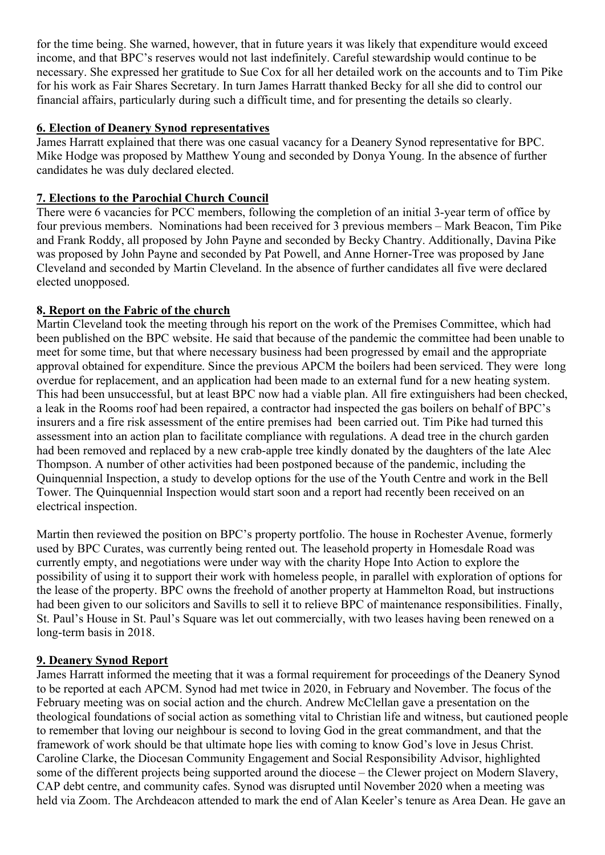for the time being. She warned, however, that in future years it was likely that expenditure would exceed income, and that BPC's reserves would not last indefinitely. Careful stewardship would continue to be necessary. She expressed her gratitude to Sue Cox for all her detailed work on the accounts and to Tim Pike for his work as Fair Shares Secretary. In turn James Harratt thanked Becky for all she did to control our financial affairs, particularly during such a difficult time, and for presenting the details so clearly.

#### 6. Election of Deanery Synod representatives

James Harratt explained that there was one casual vacancy for a Deanery Synod representative for BPC. Mike Hodge was proposed by Matthew Young and seconded by Donya Young. In the absence of further candidates he was duly declared elected.

## 7. Elections to the Parochial Church Council

There were 6 vacancies for PCC members, following the completion of an initial 3-year term of office by four previous members. Nominations had been received for 3 previous members – Mark Beacon, Tim Pike and Frank Roddy, all proposed by John Payne and seconded by Becky Chantry. Additionally, Davina Pike was proposed by John Payne and seconded by Pat Powell, and Anne Horner-Tree was proposed by Jane Cleveland and seconded by Martin Cleveland. In the absence of further candidates all five were declared elected unopposed.

## 8. Report on the Fabric of the church

Martin Cleveland took the meeting through his report on the work of the Premises Committee, which had been published on the BPC website. He said that because of the pandemic the committee had been unable to meet for some time, but that where necessary business had been progressed by email and the appropriate approval obtained for expenditure. Since the previous APCM the boilers had been serviced. They were long overdue for replacement, and an application had been made to an external fund for a new heating system. This had been unsuccessful, but at least BPC now had a viable plan. All fire extinguishers had been checked, a leak in the Rooms roof had been repaired, a contractor had inspected the gas boilers on behalf of BPC's insurers and a fire risk assessment of the entire premises had been carried out. Tim Pike had turned this assessment into an action plan to facilitate compliance with regulations. A dead tree in the church garden had been removed and replaced by a new crab-apple tree kindly donated by the daughters of the late Alec Thompson. A number of other activities had been postponed because of the pandemic, including the Quinquennial Inspection, a study to develop options for the use of the Youth Centre and work in the Bell Tower. The Quinquennial Inspection would start soon and a report had recently been received on an electrical inspection.

Martin then reviewed the position on BPC's property portfolio. The house in Rochester Avenue, formerly used by BPC Curates, was currently being rented out. The leasehold property in Homesdale Road was currently empty, and negotiations were under way with the charity Hope Into Action to explore the possibility of using it to support their work with homeless people, in parallel with exploration of options for the lease of the property. BPC owns the freehold of another property at Hammelton Road, but instructions had been given to our solicitors and Savills to sell it to relieve BPC of maintenance responsibilities. Finally, St. Paul's House in St. Paul's Square was let out commercially, with two leases having been renewed on a long-term basis in 2018.

# 9. Deanery Synod Report

James Harratt informed the meeting that it was a formal requirement for proceedings of the Deanery Synod to be reported at each APCM. Synod had met twice in 2020, in February and November. The focus of the February meeting was on social action and the church. Andrew McClellan gave a presentation on the theological foundations of social action as something vital to Christian life and witness, but cautioned people to remember that loving our neighbour is second to loving God in the great commandment, and that the framework of work should be that ultimate hope lies with coming to know God's love in Jesus Christ. Caroline Clarke, the Diocesan Community Engagement and Social Responsibility Advisor, highlighted some of the different projects being supported around the diocese – the Clewer project on Modern Slavery, CAP debt centre, and community cafes. Synod was disrupted until November 2020 when a meeting was held via Zoom. The Archdeacon attended to mark the end of Alan Keeler's tenure as Area Dean. He gave an